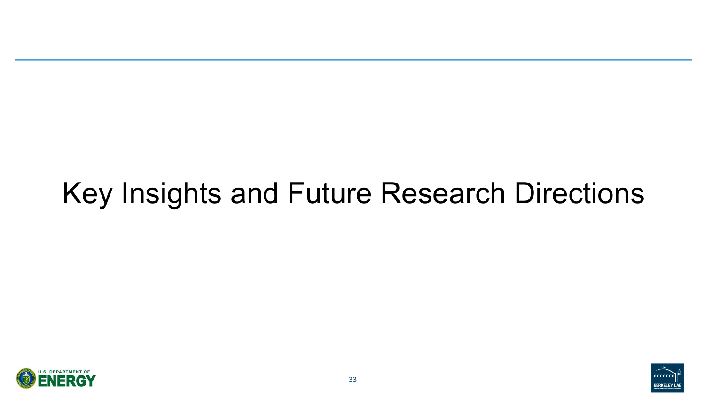

# Key Insights and Future Research Directions



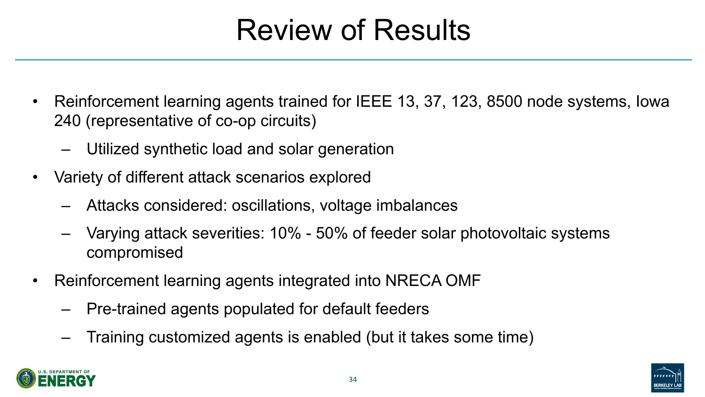





- Reinforcement learning agents trained for IEEE 13, 37, 123, 8500 node systems, Iowa 240 (representative of co-op circuits)
	- Utilized synthetic load and solar generation
- Variety of different attack scenarios explored
	- Attacks considered: oscillations, voltage imbalances
	- Varying attack severities: 10% 50% of feeder solar photovoltaic systems compromised
- Reinforcement learning agents integrated into NRECA OMF
	- Pre-trained agents populated for default feeders
	- Training customized agents is enabled (but it takes some time)

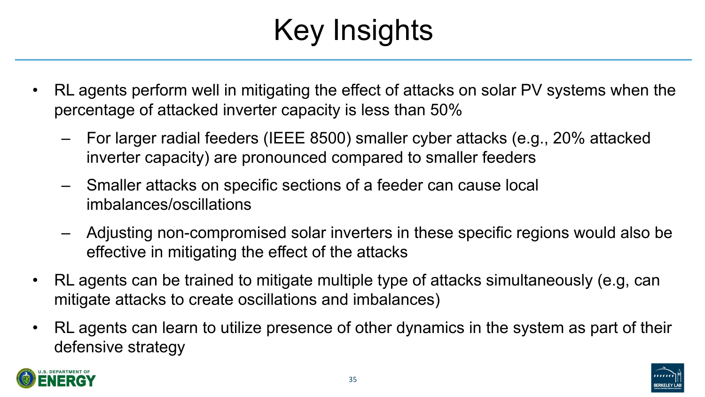







# Key Insights



- RL agents perform well in mitigating the effect of attacks on solar PV systems when the percentage of attacked inverter capacity is less than 50%
	- For larger radial feeders (IEEE 8500) smaller cyber attacks (e.g., 20% attacked inverter capacity) are pronounced compared to smaller feeders
	- Smaller attacks on specific sections of a feeder can cause local imbalances/oscillations
	- Adjusting non-compromised solar inverters in these specific regions would also be effective in mitigating the effect of the attacks
- RL agents can be trained to mitigate multiple type of attacks simultaneously (e.g, can mitigate attacks to create oscillations and imbalances)
- RL agents can learn to utilize presence of other dynamics in the system as part of their defensive strategy

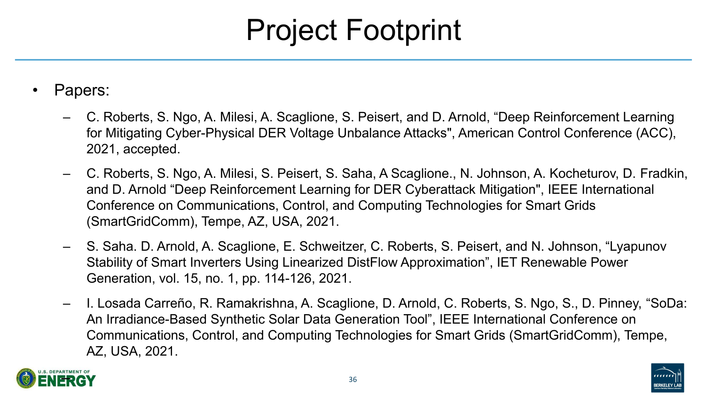





- Papers:
	- C. Roberts, S. Ngo, A. Milesi, A. Scaglione, S. Peisert, and D. Arnold, "Deep Reinforcement Learning for Mitigating Cyber-Physical DER Voltage Unbalance Attacks", American Control Conference (ACC), 2021, accepted.
	- C. Roberts, S. Ngo, A. Milesi, S. Peisert, S. Saha, A Scaglione., N. Johnson, A. Kocheturov, D. Fradkin, and D. Arnold "Deep Reinforcement Learning for DER Cyberattack Mitigation", IEEE International Conference on Communications, Control, and Computing Technologies for Smart Grids (SmartGridComm), Tempe, AZ, USA, 2021.
	- S. Saha. D. Arnold, A. Scaglione, E. Schweitzer, C. Roberts, S. Peisert, and N. Johnson, "Lyapunov Stability of Smart Inverters Using Linearized DistFlow Approximation", IET Renewable Power Generation, vol. 15, no. 1, pp. 114-126, 2021.
	- I. Losada Carreño, R. Ramakrishna, A. Scaglione, D. Arnold, C. Roberts, S. Ngo, S., D. Pinney, "SoDa: An Irradiance-Based Synthetic Solar Data Generation Tool", IEEE International Conference on Communications, Control, and Computing Technologies for Smart Grids (SmartGridComm), Tempe, AZ, USA, 2021.

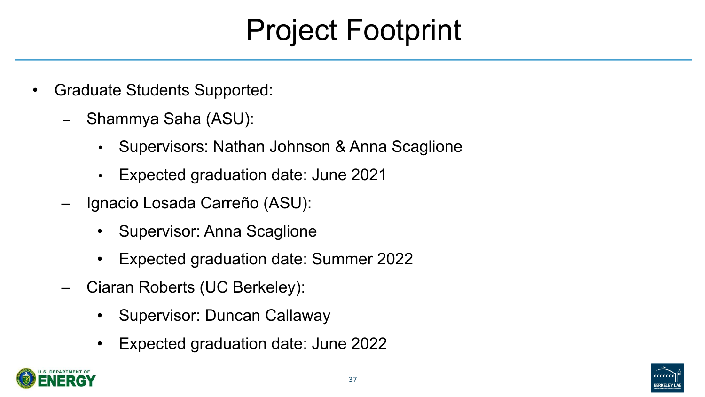

# Project Footprint

- Graduate Students Supported:
	- Shammya Saha (ASU):
		- Supervisors: Nathan Johnson & Anna Scaglione • Expected graduation date: June 2021
		-
	- Ignacio Losada Carreño (ASU):
		- Supervisor: Anna Scaglione
		- Expected graduation date: Summer 2022
	- Ciaran Roberts (UC Berkeley):
		- Supervisor: Duncan Callaway
		- Expected graduation date: June 2022



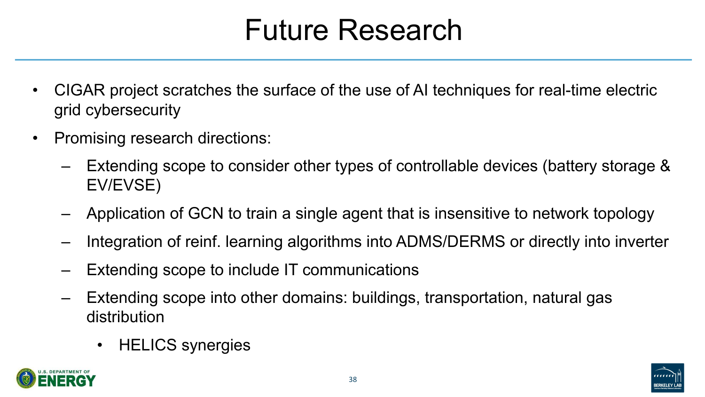## Future Research



- CIGAR project scratches the surface of the use of AI techniques for real-time electric grid cybersecurity
- Promising research directions:
	- Extending scope to consider other types of controllable devices (battery storage & EV/EVSE)
	- Application of GCN to train a single agent that is insensitive to network topology – Integration of reinf. learning algorithms into ADMS/DERMS or directly into inverter – Extending scope to include IT communications
	-
	-
	- Extending scope into other domains: buildings, transportation, natural gas distribution
		- HELICS synergies

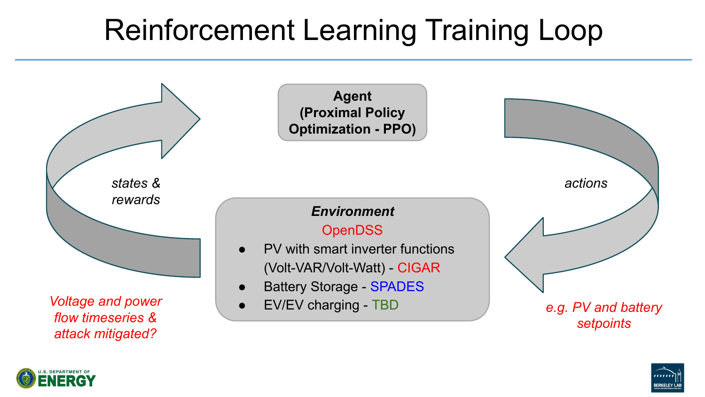**Agent (Proximal Policy Optimization - PPO)**

### *Environment*

### **OpenDSS**

- PV with smart inverter functions
	- (Volt-VAR/Volt-Watt) CIGAR
	- **Battery Storage SPADES** 
		-









# Reinforcement Learning Training Loop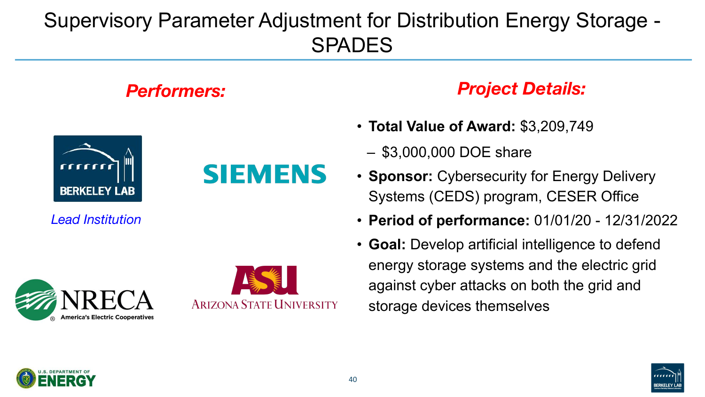

### Supervisory Parameter Adjustment for Distribution Energy Storage - SPADES



- **Total Value of Award:** \$3,209,749
	- \$3,000,000 DOE share
- **Sponsor:** Cybersecurity for Energy Delivery Systems (CEDS) program, CESER Office
- **Period of performance:** 01/01/20 12/31/2022
- **Goal:** Develop artificial intelligence to defend energy storage systems and the electric grid against cyber attacks on both the grid and storage devices themselves



### *Performers: Project Details:*

*Lead Institution*

# **America's Electric Cooperatives**



SIEMENS

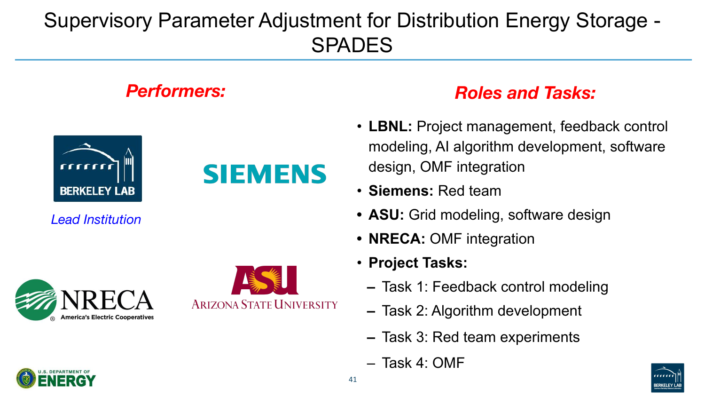

- **LBNL:** Project management, feedback control modeling, AI algorithm development, software design, OMF integration
- **Siemens:** Red team
- **• ASU:** Grid modeling, software design
- **• NRECA:** OMF integration
- **Project Tasks:**
	- **–** Task 1: Feedback control modeling
	- **–** Task 2: Algorithm development
	- **–** Task 3: Red team experiments
	- Task 4: OMF



### *Performers: Roles and Tasks:*

*Lead Institution*

# **America's Electric Cooperatives**



**SIEMENS** 



### Supervisory Parameter Adjustment for Distribution Energy Storage - SPADES

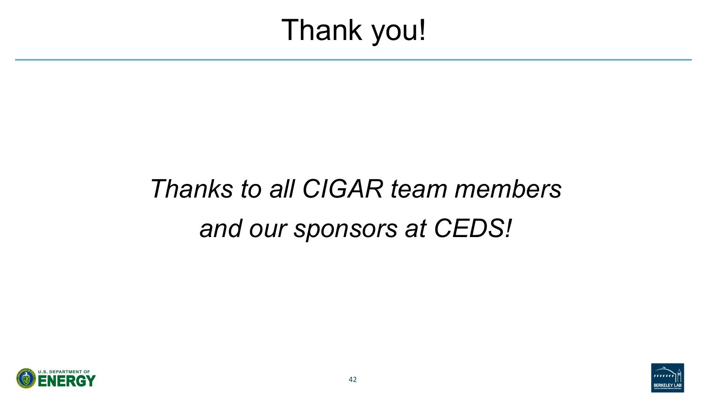

# Thank you!



# *Thanks to all CIGAR team members and our sponsors at CEDS!*

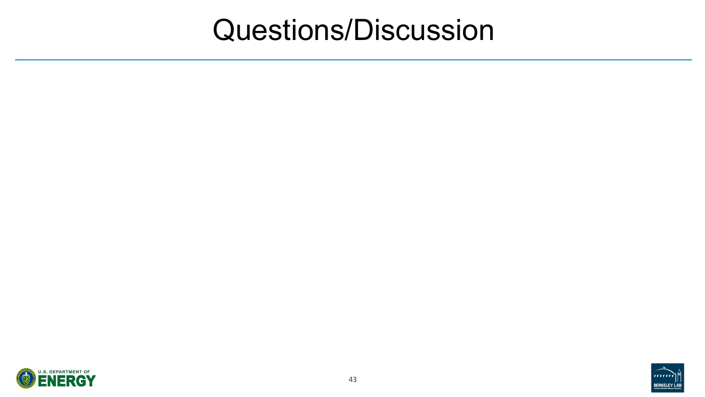

## Questions/Discussion